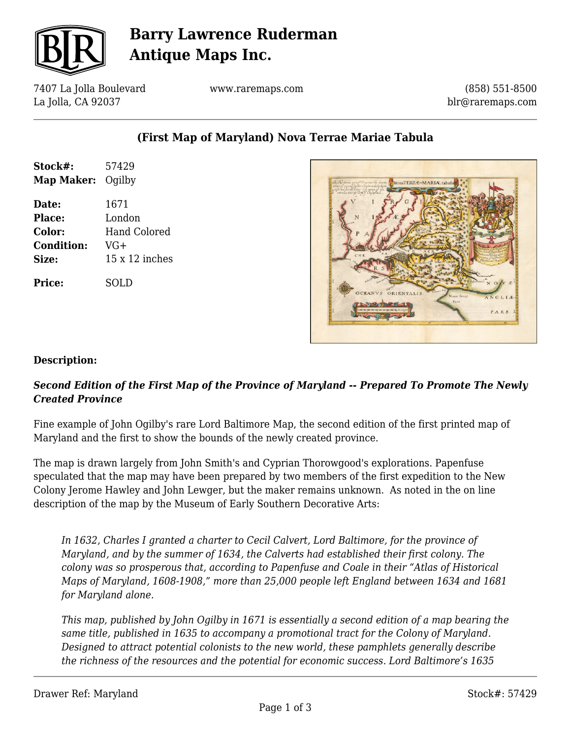

## **Barry Lawrence Ruderman Antique Maps Inc.**

7407 La Jolla Boulevard La Jolla, CA 92037

www.raremaps.com

(858) 551-8500 blr@raremaps.com

### **(First Map of Maryland) Nova Terrae Mariae Tabula**

| Stock#:           | 57429          |
|-------------------|----------------|
| Map Maker:        | Oqilby         |
| Date:             | 1671           |
| Place:            | London         |
| <b>Color:</b>     | Hand Colored   |
| <b>Condition:</b> | $VG+$          |
| Size:             | 15 x 12 inches |
| Price:            | SOL D          |



#### **Description:**

#### *Second Edition of the First Map of the Province of Maryland -- Prepared To Promote The Newly Created Province*

Fine example of John Ogilby's rare Lord Baltimore Map, the second edition of the first printed map of Maryland and the first to show the bounds of the newly created province.

The map is drawn largely from John Smith's and Cyprian Thorowgood's explorations. Papenfuse speculated that the map may have been prepared by two members of the first expedition to the New Colony Jerome Hawley and John Lewger, but the maker remains unknown. As noted in the on line description of the map by the Museum of Early Southern Decorative Arts:

*In 1632, Charles I granted a charter to Cecil Calvert, Lord Baltimore, for the province of Maryland, and by the summer of 1634, the Calverts had established their first colony. The colony was so prosperous that, according to Papenfuse and Coale in their "Atlas of Historical Maps of Maryland, 1608-1908," more than 25,000 people left England between 1634 and 1681 for Maryland alone.*

*This map, published by John Ogilby in 1671 is essentially a second edition of a map bearing the same title, published in 1635 to accompany a promotional tract for the Colony of Maryland. Designed to attract potential colonists to the new world, these pamphlets generally describe the richness of the resources and the potential for economic success. Lord Baltimore's 1635*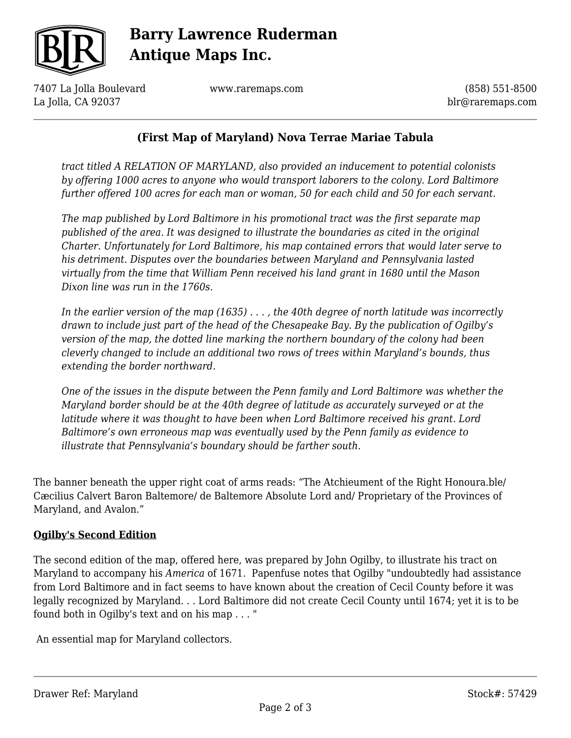

## **Barry Lawrence Ruderman Antique Maps Inc.**

7407 La Jolla Boulevard La Jolla, CA 92037

www.raremaps.com

(858) 551-8500 blr@raremaps.com

### **(First Map of Maryland) Nova Terrae Mariae Tabula**

*tract titled A RELATION OF MARYLAND, also provided an inducement to potential colonists by offering 1000 acres to anyone who would transport laborers to the colony. Lord Baltimore further offered 100 acres for each man or woman, 50 for each child and 50 for each servant.*

*The map published by Lord Baltimore in his promotional tract was the first separate map published of the area. It was designed to illustrate the boundaries as cited in the original Charter. Unfortunately for Lord Baltimore, his map contained errors that would later serve to his detriment. Disputes over the boundaries between Maryland and Pennsylvania lasted virtually from the time that William Penn received his land grant in 1680 until the Mason Dixon line was run in the 1760s.*

*In the earlier version of the map (1635) . . . , the 40th degree of north latitude was incorrectly drawn to include just part of the head of the Chesapeake Bay. By the publication of Ogilby's version of the map, the dotted line marking the northern boundary of the colony had been cleverly changed to include an additional two rows of trees within Maryland's bounds, thus extending the border northward.*

*One of the issues in the dispute between the Penn family and Lord Baltimore was whether the Maryland border should be at the 40th degree of latitude as accurately surveyed or at the latitude where it was thought to have been when Lord Baltimore received his grant. Lord Baltimore's own erroneous map was eventually used by the Penn family as evidence to illustrate that Pennsylvania's boundary should be farther south.*

The banner beneath the upper right coat of arms reads: "The Atchieument of the Right Honoura.ble/ Cæcilius Calvert Baron Baltemore/ de Baltemore Absolute Lord and/ Proprietary of the Provinces of Maryland, and Avalon."

#### **Ogilby's Second Edition**

The second edition of the map, offered here, was prepared by John Ogilby, to illustrate his tract on Maryland to accompany his *America* of 1671. Papenfuse notes that Ogilby "undoubtedly had assistance from Lord Baltimore and in fact seems to have known about the creation of Cecil County before it was legally recognized by Maryland. . . Lord Baltimore did not create Cecil County until 1674; yet it is to be found both in Ogilby's text and on his map . . . "

An essential map for Maryland collectors.